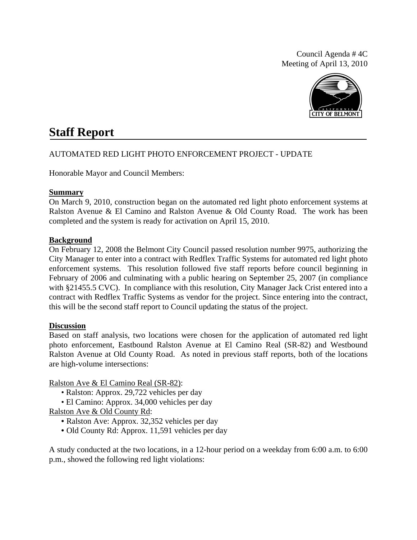Council Agenda # 4C Meeting of April 13, 2010



# **Staff Report**

# AUTOMATED RED LIGHT PHOTO ENFORCEMENT PROJECT - UPDATE

Honorable Mayor and Council Members:

#### **Summary**

On March 9, 2010, construction began on the automated red light photo enforcement systems at Ralston Avenue & El Camino and Ralston Avenue & Old County Road. The work has been completed and the system is ready for activation on April 15, 2010.

### **Background**

On February 12, 2008 the Belmont City Council passed resolution number 9975, authorizing the City Manager to enter into a contract with Redflex Traffic Systems for automated red light photo enforcement systems. This resolution followed five staff reports before council beginning in February of 2006 and culminating with a public hearing on September 25, 2007 (in compliance with §21455.5 CVC). In compliance with this resolution, City Manager Jack Crist entered into a contract with Redflex Traffic Systems as vendor for the project. Since entering into the contract, this will be the second staff report to Council updating the status of the project.

# **Discussion**

Based on staff analysis, two locations were chosen for the application of automated red light photo enforcement, Eastbound Ralston Avenue at El Camino Real (SR-82) and Westbound Ralston Avenue at Old County Road. As noted in previous staff reports, both of the locations are high-volume intersections:

Ralston Ave & El Camino Real (SR-82):

- Ralston: Approx. 29,722 vehicles per day
- El Camino: Approx. 34,000 vehicles per day

Ralston Ave & Old County Rd:

- Ralston Ave: Approx. 32,352 vehicles per day
- Old County Rd: Approx. 11,591 vehicles per day

A study conducted at the two locations, in a 12-hour period on a weekday from 6:00 a.m. to 6:00 p.m., showed the following red light violations: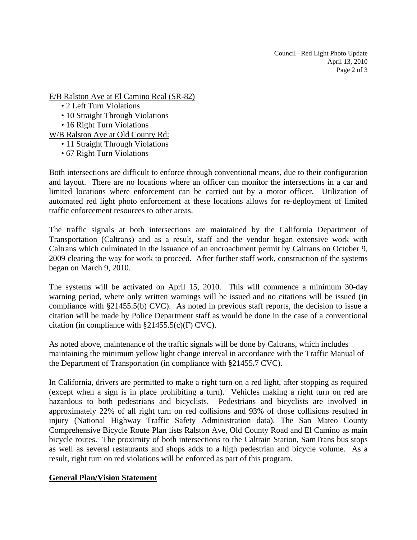Council –Red Light Photo Update April 13, 2010 Page 2 of 3

E/B Ralston Ave at El Camino Real (SR-82)

- 2 Left Turn Violations
- 10 Straight Through Violations
- 16 Right Turn Violations
- W/B Ralston Ave at Old County Rd:
	- 11 Straight Through Violations
	- 67 Right Turn Violations

Both intersections are difficult to enforce through conventional means, due to their configuration and layout. There are no locations where an officer can monitor the intersections in a car and limited locations where enforcement can be carried out by a motor officer. Utilization of automated red light photo enforcement at these locations allows for re-deployment of limited traffic enforcement resources to other areas.

The traffic signals at both intersections are maintained by the California Department of Transportation (Caltrans) and as a result, staff and the vendor began extensive work with Caltrans which culminated in the issuance of an encroachment permit by Caltrans on October 9, 2009 clearing the way for work to proceed. After further staff work, construction of the systems began on March 9, 2010.

The systems will be activated on April 15, 2010. This will commence a minimum 30-day warning period, where only written warnings will be issued and no citations will be issued (in compliance with §21455.5(b) CVC). As noted in previous staff reports, the decision to issue a citation will be made by Police Department staff as would be done in the case of a conventional citation (in compliance with  $\S21455.5(c)$ (F) CVC).

As noted above, maintenance of the traffic signals will be done by Caltrans, which includes maintaining the minimum yellow light change interval in accordance with the Traffic Manual of the Department of Transportation (in compliance with **§**21455**.**7 CVC).

In California, drivers are permitted to make a right turn on a red light, after stopping as required (except when a sign is in place prohibiting a turn). Vehicles making a right turn on red are hazardous to both pedestrians and bicyclists. Pedestrians and bicyclists are involved in approximately 22% of all right turn on red collisions and 93% of those collisions resulted in injury (National Highway Traffic Safety Administration data). The San Mateo County Comprehensive Bicycle Route Plan lists Ralston Ave, Old County Road and El Camino as main bicycle routes. The proximity of both intersections to the Caltrain Station, SamTrans bus stops as well as several restaurants and shops adds to a high pedestrian and bicycle volume. As a result, right turn on red violations will be enforced as part of this program.

# **General Plan/Vision Statement**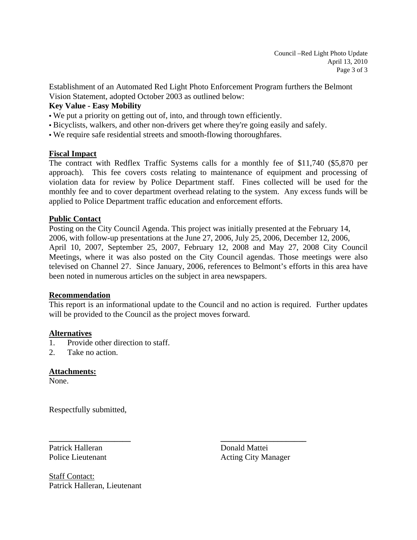Establishment of an Automated Red Light Photo Enforcement Program furthers the Belmont Vision Statement, adopted October 2003 as outlined below:

# **Key Value - Easy Mobility**

- We put a priority on getting out of, into, and through town efficiently.
- Bicyclists, walkers, and other non-drivers get where they're going easily and safely.
- We require safe residential streets and smooth-flowing thoroughfares.

### **Fiscal Impact**

The contract with Redflex Traffic Systems calls for a monthly fee of \$11,740 (\$5,870 per approach). This fee covers costs relating to maintenance of equipment and processing of violation data for review by Police Department staff. Fines collected will be used for the monthly fee and to cover department overhead relating to the system. Any excess funds will be applied to Police Department traffic education and enforcement efforts.

### **Public Contact**

Posting on the City Council Agenda. This project was initially presented at the February 14, 2006, with follow-up presentations at the June 27, 2006, July 25, 2006, December 12, 2006, April 10, 2007, September 25, 2007, February 12, 2008 and May 27, 2008 City Council Meetings, where it was also posted on the City Council agendas. Those meetings were also televised on Channel 27. Since January, 2006, references to Belmont's efforts in this area have been noted in numerous articles on the subject in area newspapers.

#### **Recommendation**

This report is an informational update to the Council and no action is required. Further updates will be provided to the Council as the project moves forward.

**\_\_\_\_\_\_\_\_\_\_\_\_\_\_\_\_\_\_\_\_ \_\_\_\_\_\_\_\_\_\_\_\_\_\_\_\_\_\_\_\_\_** 

#### **Alternatives**

- 1. Provide other direction to staff.
- 2. Take no action.

# **Attachments:**

None.

Respectfully submitted,

Patrick Halleran Donald Mattei

Police Lieutenant **Acting City Manager** 

Staff Contact: Patrick Halleran, Lieutenant